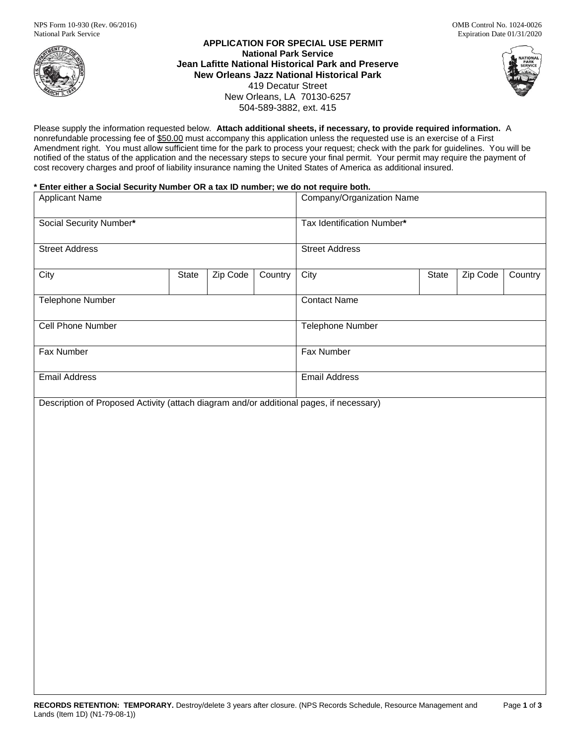

**APPLICATION FOR SPECIAL USE PERMIT National Park Service Jean Lafitte National Historical Park and Preserve New Orleans Jazz National Historical Park** 419 Decatur Street New Orleans, LA 70130-6257 504-589-3882, ext. 415



Please supply the information requested below. **Attach additional sheets, if necessary, to provide required information.** A nonrefundable processing fee of \$50.00 must accompany this application unless the requested use is an exercise of a First Amendment right. You must allow sufficient time for the park to process your request; check with the park for guidelines. You will be notified of the status of the application and the necessary steps to secure your final permit. Your permit may require the payment of cost recovery charges and proof of liability insurance naming the United States of America as additional insured.

### **\* Enter either a Social Security Number OR a tax ID number; we do not require both.**

| <b>Applicant Name</b>                                                                   |       |          | Company/Organization Name  |                       |  |       |          |         |
|-----------------------------------------------------------------------------------------|-------|----------|----------------------------|-----------------------|--|-------|----------|---------|
| Social Security Number*                                                                 |       |          | Tax Identification Number* |                       |  |       |          |         |
| <b>Street Address</b>                                                                   |       |          |                            | <b>Street Address</b> |  |       |          |         |
| City                                                                                    | State | Zip Code | Country                    | City                  |  | State | Zip Code | Country |
| Telephone Number                                                                        |       |          |                            | <b>Contact Name</b>   |  |       |          |         |
| <b>Cell Phone Number</b>                                                                |       |          |                            | Telephone Number      |  |       |          |         |
| Fax Number                                                                              |       |          |                            | Fax Number            |  |       |          |         |
| <b>Email Address</b>                                                                    |       |          |                            | <b>Email Address</b>  |  |       |          |         |
| Description of Proposed Activity (attach diagram and/or additional pages, if necessary) |       |          |                            |                       |  |       |          |         |
|                                                                                         |       |          |                            |                       |  |       |          |         |
|                                                                                         |       |          |                            |                       |  |       |          |         |
|                                                                                         |       |          |                            |                       |  |       |          |         |
|                                                                                         |       |          |                            |                       |  |       |          |         |
|                                                                                         |       |          |                            |                       |  |       |          |         |
|                                                                                         |       |          |                            |                       |  |       |          |         |
|                                                                                         |       |          |                            |                       |  |       |          |         |
|                                                                                         |       |          |                            |                       |  |       |          |         |
|                                                                                         |       |          |                            |                       |  |       |          |         |
|                                                                                         |       |          |                            |                       |  |       |          |         |
|                                                                                         |       |          |                            |                       |  |       |          |         |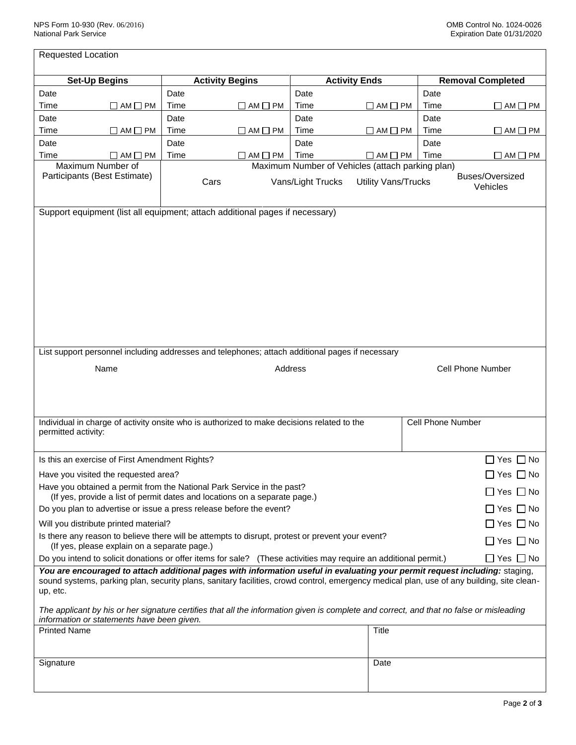| <b>Requested Location</b>                                                                                                                                                                                                                                                                                                                                                                                                       |                                                                                            |                      |                     |                          |                      |  |
|---------------------------------------------------------------------------------------------------------------------------------------------------------------------------------------------------------------------------------------------------------------------------------------------------------------------------------------------------------------------------------------------------------------------------------|--------------------------------------------------------------------------------------------|----------------------|---------------------|--------------------------|----------------------|--|
| <b>Set-Up Begins</b>                                                                                                                                                                                                                                                                                                                                                                                                            | <b>Activity Begins</b>                                                                     | <b>Activity Ends</b> |                     | <b>Removal Completed</b> |                      |  |
| Date                                                                                                                                                                                                                                                                                                                                                                                                                            | Date                                                                                       | Date                 |                     | Date                     |                      |  |
| Time<br>$\Box$ AM $\Box$ PM                                                                                                                                                                                                                                                                                                                                                                                                     | Time<br>$\Box$ AM $\Box$ PM                                                                | Time                 | $\Box$ AM $\Box$ PM | Time                     | $\Box$ AM $\Box$ PM  |  |
| Date                                                                                                                                                                                                                                                                                                                                                                                                                            | Date                                                                                       | Date                 |                     | Date                     |                      |  |
| Time<br>$\Box$ AM $\Box$ PM                                                                                                                                                                                                                                                                                                                                                                                                     | Time<br>$\Box$ AM $\Box$ PM                                                                | Time                 | $\Box$ AM $\Box$ PM | Time                     | $\Box$ AM $\Box$ PM  |  |
| Date                                                                                                                                                                                                                                                                                                                                                                                                                            | Date                                                                                       | Date                 |                     | Date                     |                      |  |
| Time<br>$\Box$ AM $\Box$ PM                                                                                                                                                                                                                                                                                                                                                                                                     | Time<br>$\Box$ AM $\Box$ PM                                                                | Time                 | $\Box$ AM $\Box$ PM | Time                     | $\Box$ AM $\Box$ PM  |  |
| Maximum Number of<br>Maximum Number of Vehicles (attach parking plan)<br>Participants (Best Estimate)<br>Buses/Oversized<br>Vans/Light Trucks<br><b>Utility Vans/Trucks</b><br>Cars<br>Vehicles                                                                                                                                                                                                                                 |                                                                                            |                      |                     |                          |                      |  |
|                                                                                                                                                                                                                                                                                                                                                                                                                                 |                                                                                            |                      |                     |                          |                      |  |
| List support personnel including addresses and telephones; attach additional pages if necessary<br>Name<br>Address<br>Cell Phone Number                                                                                                                                                                                                                                                                                         |                                                                                            |                      |                     |                          |                      |  |
| permitted activity:                                                                                                                                                                                                                                                                                                                                                                                                             | Individual in charge of activity onsite who is authorized to make decisions related to the |                      |                     | <b>Cell Phone Number</b> |                      |  |
|                                                                                                                                                                                                                                                                                                                                                                                                                                 |                                                                                            |                      |                     |                          |                      |  |
| Is this an exercise of First Amendment Rights?<br>$\Box$ Yes $\Box$ No                                                                                                                                                                                                                                                                                                                                                          |                                                                                            |                      |                     |                          |                      |  |
| Have you visited the requested area?                                                                                                                                                                                                                                                                                                                                                                                            |                                                                                            |                      |                     |                          |                      |  |
| Have you obtained a permit from the National Park Service in the past?<br>(If yes, provide a list of permit dates and locations on a separate page.)                                                                                                                                                                                                                                                                            |                                                                                            |                      |                     |                          |                      |  |
| Do you plan to advertise or issue a press release before the event?                                                                                                                                                                                                                                                                                                                                                             |                                                                                            |                      |                     |                          | $\Box$ Yes $\Box$ No |  |
| $\Box$ Yes $\Box$ No<br>Will you distribute printed material?                                                                                                                                                                                                                                                                                                                                                                   |                                                                                            |                      |                     |                          |                      |  |
| Is there any reason to believe there will be attempts to disrupt, protest or prevent your event?<br>$\Box$ Yes $\Box$ No<br>(If yes, please explain on a separate page.)                                                                                                                                                                                                                                                        |                                                                                            |                      |                     |                          |                      |  |
| Do you intend to solicit donations or offer items for sale? (These activities may require an additional permit.)<br>$\Box$ Yes $\Box$ No                                                                                                                                                                                                                                                                                        |                                                                                            |                      |                     |                          |                      |  |
| You are encouraged to attach additional pages with information useful in evaluating your permit request including: staging,<br>sound systems, parking plan, security plans, sanitary facilities, crowd control, emergency medical plan, use of any building, site clean-<br>up, etc.<br>The applicant by his or her signature certifies that all the information given is complete and correct, and that no false or misleading |                                                                                            |                      |                     |                          |                      |  |
| information or statements have been given.                                                                                                                                                                                                                                                                                                                                                                                      |                                                                                            |                      |                     |                          |                      |  |
| <b>Printed Name</b>                                                                                                                                                                                                                                                                                                                                                                                                             |                                                                                            |                      | Title               |                          |                      |  |
| Signature                                                                                                                                                                                                                                                                                                                                                                                                                       |                                                                                            |                      | Date                |                          |                      |  |